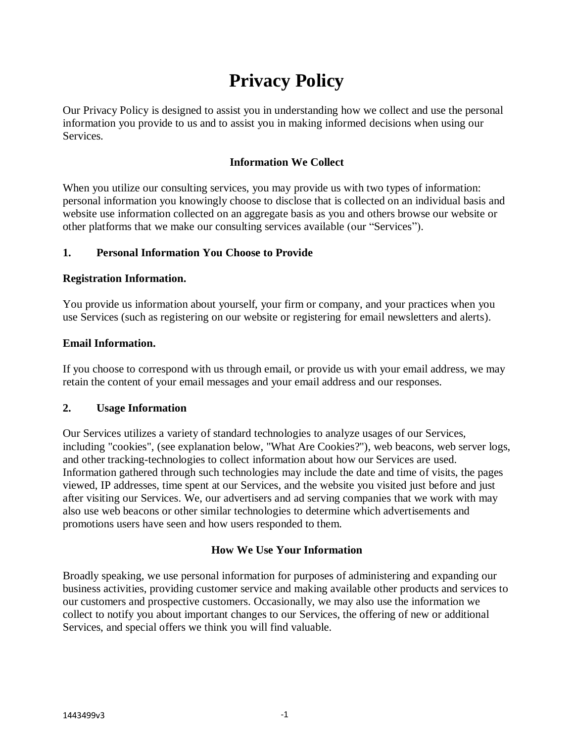# **Privacy Policy**

Our Privacy Policy is designed to assist you in understanding how we collect and use the personal information you provide to us and to assist you in making informed decisions when using our Services.

# **Information We Collect**

When you utilize our consulting services, you may provide us with two types of information: personal information you knowingly choose to disclose that is collected on an individual basis and website use information collected on an aggregate basis as you and others browse our website or other platforms that we make our consulting services available (our "Services").

## **1. Personal Information You Choose to Provide**

## **Registration Information.**

You provide us information about yourself, your firm or company, and your practices when you use Services (such as registering on our website or registering for email newsletters and alerts).

#### **Email Information.**

If you choose to correspond with us through email, or provide us with your email address, we may retain the content of your email messages and your email address and our responses.

# **2. Usage Information**

Our Services utilizes a variety of standard technologies to analyze usages of our Services, including "cookies", (see explanation below, "What Are Cookies?"), web beacons, web server logs, and other tracking-technologies to collect information about how our Services are used. Information gathered through such technologies may include the date and time of visits, the pages viewed, IP addresses, time spent at our Services, and the website you visited just before and just after visiting our Services. We, our advertisers and ad serving companies that we work with may also use web beacons or other similar technologies to determine which advertisements and promotions users have seen and how users responded to them.

# **How We Use Your Information**

Broadly speaking, we use personal information for purposes of administering and expanding our business activities, providing customer service and making available other products and services to our customers and prospective customers. Occasionally, we may also use the information we collect to notify you about important changes to our Services, the offering of new or additional Services, and special offers we think you will find valuable.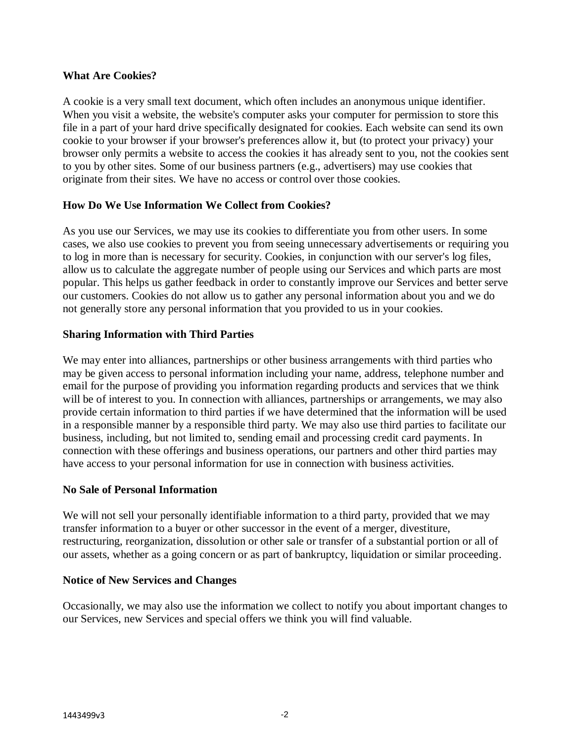## **What Are Cookies?**

A cookie is a very small text document, which often includes an anonymous unique identifier. When you visit a website, the website's computer asks your computer for permission to store this file in a part of your hard drive specifically designated for cookies. Each website can send its own cookie to your browser if your browser's preferences allow it, but (to protect your privacy) your browser only permits a website to access the cookies it has already sent to you, not the cookies sent to you by other sites. Some of our business partners (e.g., advertisers) may use cookies that originate from their sites. We have no access or control over those cookies.

## **How Do We Use Information We Collect from Cookies?**

As you use our Services, we may use its cookies to differentiate you from other users. In some cases, we also use cookies to prevent you from seeing unnecessary advertisements or requiring you to log in more than is necessary for security. Cookies, in conjunction with our server's log files, allow us to calculate the aggregate number of people using our Services and which parts are most popular. This helps us gather feedback in order to constantly improve our Services and better serve our customers. Cookies do not allow us to gather any personal information about you and we do not generally store any personal information that you provided to us in your cookies.

## **Sharing Information with Third Parties**

We may enter into alliances, partnerships or other business arrangements with third parties who may be given access to personal information including your name, address, telephone number and email for the purpose of providing you information regarding products and services that we think will be of interest to you. In connection with alliances, partnerships or arrangements, we may also provide certain information to third parties if we have determined that the information will be used in a responsible manner by a responsible third party. We may also use third parties to facilitate our business, including, but not limited to, sending email and processing credit card payments. In connection with these offerings and business operations, our partners and other third parties may have access to your personal information for use in connection with business activities.

#### **No Sale of Personal Information**

We will not sell your personally identifiable information to a third party, provided that we may transfer information to a buyer or other successor in the event of a merger, divestiture, restructuring, reorganization, dissolution or other sale or transfer of a substantial portion or all of our assets, whether as a going concern or as part of bankruptcy, liquidation or similar proceeding.

#### **Notice of New Services and Changes**

Occasionally, we may also use the information we collect to notify you about important changes to our Services, new Services and special offers we think you will find valuable.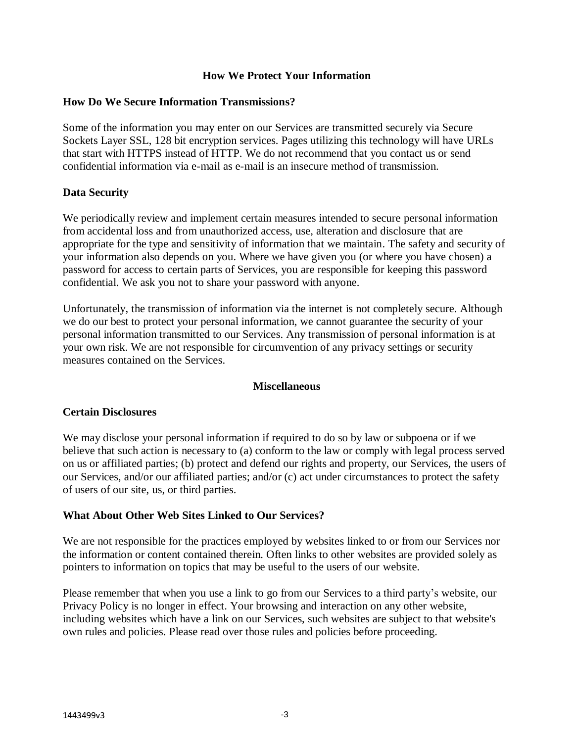### **How We Protect Your Information**

#### **How Do We Secure Information Transmissions?**

Some of the information you may enter on our Services are transmitted securely via Secure Sockets Layer SSL, 128 bit encryption services. Pages utilizing this technology will have URLs that start with HTTPS instead of HTTP. We do not recommend that you contact us or send confidential information via e-mail as e-mail is an insecure method of transmission.

#### **Data Security**

We periodically review and implement certain measures intended to secure personal information from accidental loss and from unauthorized access, use, alteration and disclosure that are appropriate for the type and sensitivity of information that we maintain. The safety and security of your information also depends on you. Where we have given you (or where you have chosen) a password for access to certain parts of Services, you are responsible for keeping this password confidential. We ask you not to share your password with anyone.

Unfortunately, the transmission of information via the internet is not completely secure. Although we do our best to protect your personal information, we cannot guarantee the security of your personal information transmitted to our Services. Any transmission of personal information is at your own risk. We are not responsible for circumvention of any privacy settings or security measures contained on the Services.

#### **Miscellaneous**

#### **Certain Disclosures**

We may disclose your personal information if required to do so by law or subpoena or if we believe that such action is necessary to (a) conform to the law or comply with legal process served on us or affiliated parties; (b) protect and defend our rights and property, our Services, the users of our Services, and/or our affiliated parties; and/or (c) act under circumstances to protect the safety of users of our site, us, or third parties.

#### **What About Other Web Sites Linked to Our Services?**

We are not responsible for the practices employed by websites linked to or from our Services nor the information or content contained therein. Often links to other websites are provided solely as pointers to information on topics that may be useful to the users of our website.

Please remember that when you use a link to go from our Services to a third party's website, our Privacy Policy is no longer in effect. Your browsing and interaction on any other website, including websites which have a link on our Services, such websites are subject to that website's own rules and policies. Please read over those rules and policies before proceeding.